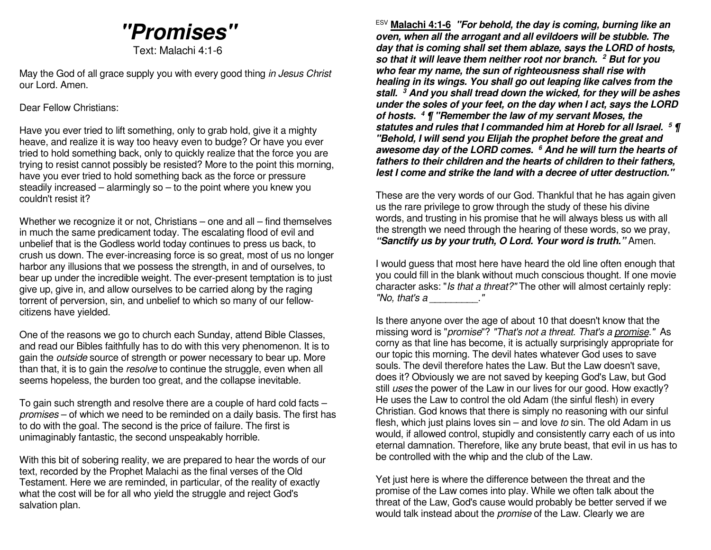# **"Promises"**

Text: Malachi 4:1-6

May the God of all grace supply you with every good thing in Jesus Christ our Lord. Amen.

Dear Fellow Christians:

Have you ever tried to lift something, only to grab hold, give it a mighty heave, and realize it is way too heavy even to budge? Or have you ever tried to hold something back, only to quickly realize that the force you are trying to resist cannot possibly be resisted? More to the point this morning, have you ever tried to hold something back as the force or pressure steadily increased – alarmingly so – to the point where you knew you couldn't resist it?

Whether we recognize it or not, Christians – one and all – find themselves in much the same predicament today. The escalating flood of evil and unbelief that is the Godless world today continues to press us back, to crush us down. The ever-increasing force is so great, most of us no longer harbor any illusions that we possess the strength, in and of ourselves, to bear up under the incredible weight. The ever-present temptation is to just give up, give in, and allow ourselves to be carried along by the raging torrent of perversion, sin, and unbelief to which so many of our fellowcitizens have yielded.

One of the reasons we go to church each Sunday, attend Bible Classes, and read our Bibles faithfully has to do with this very phenomenon. It is to gain the outside source of strength or power necessary to bear up. More than that, it is to gain the resolve to continue the struggle, even when all seems hopeless, the burden too great, and the collapse inevitable.

To gain such strength and resolve there are a couple of hard cold facts – promises – of which we need to be reminded on a daily basis. The first has to do with the goal. The second is the price of failure. The first is unimaginably fantastic, the second unspeakably horrible.

With this bit of sobering reality, we are prepared to hear the words of our text, recorded by the Prophet Malachi as the final verses of the Old Testament. Here we are reminded, in particular, of the reality of exactly what the cost will be for all who yield the struggle and reject God's salvation plan.

ESV **Malachi 4:1-6 "For behold, the day is coming, burning like an oven, when all the arrogant and all evildoers will be stubble. The day that is coming shall set them ablaze, says the LORD of hosts, so that it will leave them neither root nor branch.2 But for you who fear my name, the sun of righteousness shall rise with healing in its wings. You shall go out leaping like calves from the stall. 3 And you shall tread down the wicked, for they will be ashes under the soles of your feet, on the day when I act, says the LORD of hosts. 4 ¶ "Remember the law of my servant Moses, the statutes and rules that I commanded him at Horeb for all Israel. 5 ¶ "Behold, I will send you Elijah the prophet before the great and awesome day of the LORD comes. <sup>6</sup> And he will turn the hearts of fathers to their children and the hearts of children to their fathers, lest I come and strike the land with a decree of utter destruction."** 

These are the very words of our God. Thankful that he has again given us the rare privilege to grow through the study of these his divine words, and trusting in his promise that he will always bless us with all the strength we need through the hearing of these words, so we pray, **"Sanctify us by your truth, O Lord. Your word is truth."** Amen.

I would guess that most here have heard the old line often enough that you could fill in the blank without much conscious thought. If one movie character asks: "Is that a threat?" The other will almost certainly reply: "No, that's a  $\qquad$  .'

Is there anyone over the age of about 10 that doesn't know that the missing word is "*promise*"? "That's not a threat. That's a **promise**." As corny as that line has become, it is actually surprisingly appropriate for our topic this morning. The devil hates whatever God uses to save souls. The devil therefore hates the Law. But the Law doesn't save, does it? Obviously we are not saved by keeping God's Law, but God still uses the power of the Law in our lives for our good. How exactly? He uses the Law to control the old Adam (the sinful flesh) in every Christian. God knows that there is simply no reasoning with our sinful flesh, which just plains loves sin – and love to sin. The old Adam in us would, if allowed control, stupidly and consistently carry each of us into eternal damnation. Therefore, like any brute beast, that evil in us has to be controlled with the whip and the club of the Law.

Yet just here is where the difference between the threat and the promise of the Law comes into play. While we often talk about the threat of the Law, God's cause would probably be better served if we would talk instead about the *promise* of the Law. Clearly we are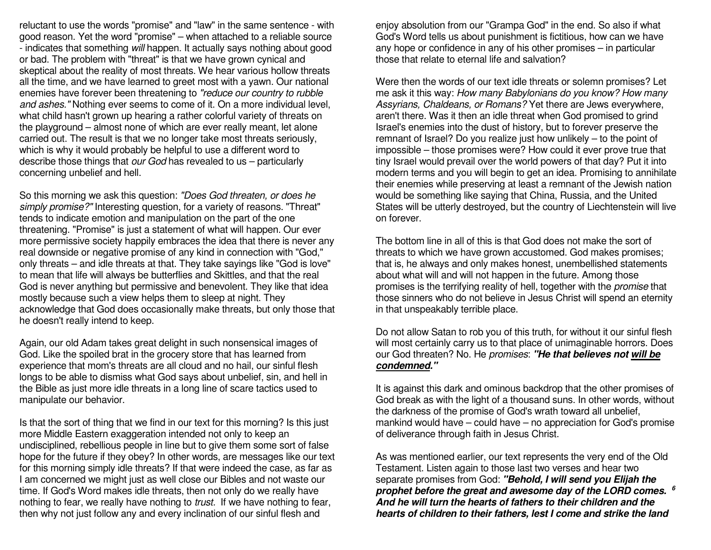reluctant to use the words "promise" and "law" in the same sentence - with good reason. Yet the word "promise" – when attached to a reliable source - indicates that something will happen. It actually says nothing about good or bad. The problem with "threat" is that we have grown cynical and skeptical about the reality of most threats. We hear various hollow threats all the time, and we have learned to greet most with a yawn. Our national enemies have forever been threatening to "reduce our country to rubble and ashes." Nothing ever seems to come of it. On a more individual level, what child hasn't grown up hearing a rather colorful variety of threats on the playground – almost none of which are ever really meant, let alone carried out. The result is that we no longer take most threats seriously, which is why it would probably be helpful to use a different word to describe those things that our God has revealed to us - particularly concerning unbelief and hell.

So this morning we ask this question: "Does God threaten, or does he simply promise?" Interesting question, for a variety of reasons. "Threat" tends to indicate emotion and manipulation on the part of the one threatening. "Promise" is just a statement of what will happen. Our ever more permissive society happily embraces the idea that there is never any real downside or negative promise of any kind in connection with "God," only threats – and idle threats at that. They take sayings like "God is love" to mean that life will always be butterflies and Skittles, and that the real God is never anything but permissive and benevolent. They like that idea mostly because such a view helps them to sleep at night. They acknowledge that God does occasionally make threats, but only those that he doesn't really intend to keep.

Again, our old Adam takes great delight in such nonsensical images of God. Like the spoiled brat in the grocery store that has learned from experience that mom's threats are all cloud and no hail, our sinful flesh longs to be able to dismiss what God says about unbelief, sin, and hell in the Bible as just more idle threats in a long line of scare tactics used to manipulate our behavior.

Is that the sort of thing that we find in our text for this morning? Is this just more Middle Eastern exaggeration intended not only to keep an undisciplined, rebellious people in line but to give them some sort of false hope for the future if they obey? In other words, are messages like our text for this morning simply idle threats? If that were indeed the case, as far as I am concerned we might just as well close our Bibles and not waste our time. If God's Word makes idle threats, then not only do we really have nothing to fear, we really have nothing to *trust*. If we have nothing to fear, then why not just follow any and every inclination of our sinful flesh and

enjoy absolution from our "Grampa God" in the end. So also if what God's Word tells us about punishment is fictitious, how can we have any hope or confidence in any of his other promises – in particular those that relate to eternal life and salvation?

Were then the words of our text idle threats or solemn promises? Let me ask it this way: How many Babylonians do you know? How many Assyrians, Chaldeans, or Romans? Yet there are Jews everywhere, aren't there. Was it then an idle threat when God promised to grind Israel's enemies into the dust of history, but to forever preserve the remnant of Israel? Do you realize just how unlikely – to the point of impossible – those promises were? How could it ever prove true that tiny Israel would prevail over the world powers of that day? Put it into modern terms and you will begin to get an idea. Promising to annihilate their enemies while preserving at least a remnant of the Jewish nation would be something like saying that China, Russia, and the United States will be utterly destroyed, but the country of Liechtenstein will live on forever.

The bottom line in all of this is that God does not make the sort of threats to which we have grown accustomed. God makes promises; that is, he always and only makes honest, unembellished statements about what will and will not happen in the future. Among those promises is the terrifying reality of hell, together with the *promise* that those sinners who do not believe in Jesus Christ will spend an eternity in that unspeakably terrible place.

Do not allow Satan to rob you of this truth, for without it our sinful flesh will most certainly carry us to that place of unimaginable horrors. Does our God threaten? No. He promises: **"He that believes not will be condemned."**

It is against this dark and ominous backdrop that the other promises of God break as with the light of a thousand suns. In other words, without the darkness of the promise of God's wrath toward all unbelief, mankind would have – could have – no appreciation for God's promise of deliverance through faith in Jesus Christ.

As was mentioned earlier, our text represents the very end of the Old Testament. Listen again to those last two verses and hear two separate promises from God: **"Behold, I will send you Elijah the prophet before the great and awesome day of the LORD comes. 6 And he will turn the hearts of fathers to their children and the hearts of children to their fathers, lest I come and strike the land**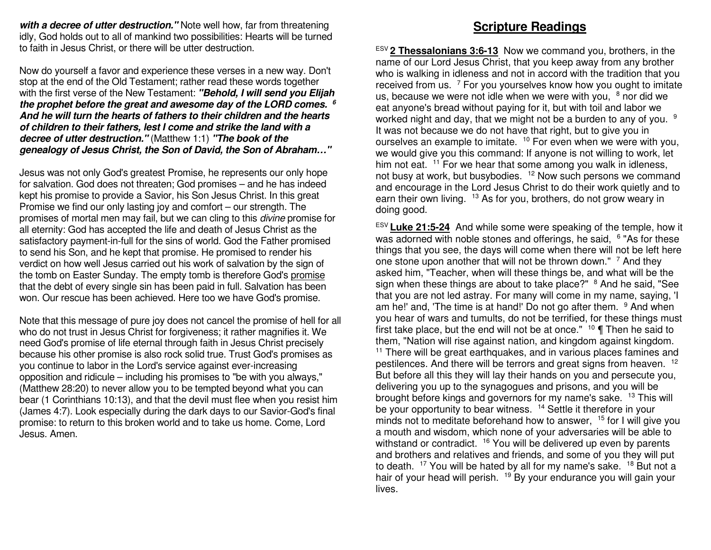**with a decree of utter destruction."** Note well how, far from threatening idly, God holds out to all of mankind two possibilities: Hearts will be turned to faith in Jesus Christ, or there will be utter destruction.

Now do yourself a favor and experience these verses in a new way. Don't stop at the end of the Old Testament; rather read these words together with the first verse of the New Testament: **"Behold, I will send you Elijah the prophet before the great and awesome day of the LORD comes. 6 And he will turn the hearts of fathers to their children and the hearts of children to their fathers, lest I come and strike the land with a decree of utter destruction."** (Matthew 1:1) **"The book of the genealogy of Jesus Christ, the Son of David, the Son of Abraham…"**

Jesus was not only God's greatest Promise, he represents our only hope for salvation. God does not threaten; God promises – and he has indeed kept his promise to provide a Savior, his Son Jesus Christ. In this great Promise we find our only lasting joy and comfort – our strength. The promises of mortal men may fail, but we can cling to this *divine* promise for all eternity: God has accepted the life and death of Jesus Christ as the satisfactory payment-in-full for the sins of world. God the Father promised to send his Son, and he kept that promise. He promised to render his verdict on how well Jesus carried out his work of salvation by the sign of the tomb on Easter Sunday. The empty tomb is therefore God's promise that the debt of every single sin has been paid in full. Salvation has been won. Our rescue has been achieved. Here too we have God's promise.

Note that this message of pure joy does not cancel the promise of hell for all who do not trust in Jesus Christ for forgiveness; it rather magnifies it. We need God's promise of life eternal through faith in Jesus Christ precisely because his other promise is also rock solid true. Trust God's promises as you continue to labor in the Lord's service against ever-increasing opposition and ridicule – including his promises to "be with you always," (Matthew 28:20) to never allow you to be tempted beyond what you can bear (1 Corinthians 10:13), and that the devil must flee when you resist him (James 4:7). Look especially during the dark days to our Savior-God's final promise: to return to this broken world and to take us home. Come, Lord Jesus. Amen.

# **Scripture Readings**

ESV **2 Thessalonians 3:6-13** Now we command you, brothers, in the name of our Lord Jesus Christ, that you keep away from any brother who is walking in idleness and not in accord with the tradition that you received from us.  $7$  For you yourselves know how you ought to imitate us, because we were not idle when we were with you, <sup>8</sup> nor did we eat anyone's bread without paying for it, but with toil and labor we worked night and day, that we might not be a burden to any of you.  $9$ It was not because we do not have that right, but to give you in ourselves an example to imitate. <sup>10</sup> For even when we were with you, we would give you this command: If anyone is not willing to work, let him not eat.  $11$  For we hear that some among you walk in idleness, not busy at work, but busybodies. <sup>12</sup> Now such persons we command and encourage in the Lord Jesus Christ to do their work quietly and to earn their own living. <sup>13</sup> As for you, brothers, do not grow weary in doing good.

ESV **Luke 21:5-24** And while some were speaking of the temple, how itwas adorned with noble stones and offerings, he said, <sup>6</sup> "As for these things that you see, the days will come when there will not be left here one stone upon another that will not be thrown down." <sup>7</sup> And they asked him, "Teacher, when will these things be, and what will be the sign when these things are about to take place?" <sup>8</sup> And he said, "See that you are not led astray. For many will come in my name, saying, 'I am he!' and, 'The time is at hand!' Do not go after them. <sup>9</sup> And when you hear of wars and tumults, do not be terrified, for these things must first take place, but the end will not be at once."  $10 \P$  Then he said to them, "Nation will rise against nation, and kingdom against kingdom. <sup>11</sup> There will be great earthquakes, and in various places famines and pestilences. And there will be terrors and great signs from heaven. <sup>12</sup> But before all this they will lay their hands on you and persecute you, delivering you up to the synagogues and prisons, and you will be brought before kings and governors for my name's sake. <sup>13</sup> This will be your opportunity to bear witness. <sup>14</sup> Settle it therefore in your minds not to meditate beforehand how to answer, <sup>15</sup> for I will give you a mouth and wisdom, which none of your adversaries will be able to withstand or contradict. <sup>16</sup> You will be delivered up even by parents and brothers and relatives and friends, and some of you they will put to death. <sup>17</sup> You will be hated by all for my name's sake. <sup>18</sup> But not a hair of your head will perish. <sup>19</sup> By your endurance you will gain your lives.